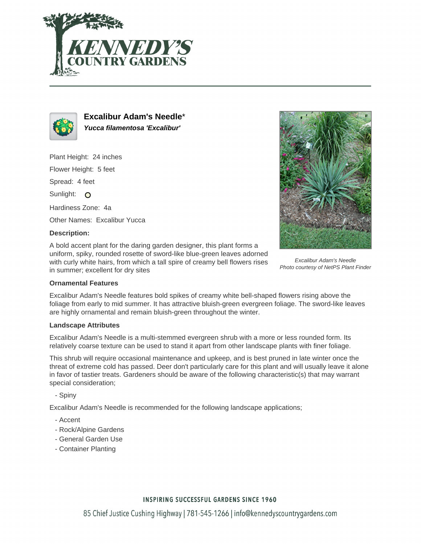



**Excalibur Adam's Needle**\* **Yucca filamentosa 'Excalibur'**

Plant Height: 24 inches

Flower Height: 5 feet

Spread: 4 feet

Sunlight: O

Hardiness Zone: 4a

Other Names: Excalibur Yucca

### **Description:**

A bold accent plant for the daring garden designer, this plant forms a uniform, spiky, rounded rosette of sword-like blue-green leaves adorned with curly white hairs, from which a tall spire of creamy bell flowers rises in summer; excellent for dry sites



Excalibur Adam's Needle Photo courtesy of NetPS Plant Finder

#### **Ornamental Features**

Excalibur Adam's Needle features bold spikes of creamy white bell-shaped flowers rising above the foliage from early to mid summer. It has attractive bluish-green evergreen foliage. The sword-like leaves are highly ornamental and remain bluish-green throughout the winter.

### **Landscape Attributes**

Excalibur Adam's Needle is a multi-stemmed evergreen shrub with a more or less rounded form. Its relatively coarse texture can be used to stand it apart from other landscape plants with finer foliage.

This shrub will require occasional maintenance and upkeep, and is best pruned in late winter once the threat of extreme cold has passed. Deer don't particularly care for this plant and will usually leave it alone in favor of tastier treats. Gardeners should be aware of the following characteristic(s) that may warrant special consideration;

- Spiny

Excalibur Adam's Needle is recommended for the following landscape applications;

- Accent
- Rock/Alpine Gardens
- General Garden Use
- Container Planting

# **INSPIRING SUCCESSFUL GARDENS SINCE 1960**